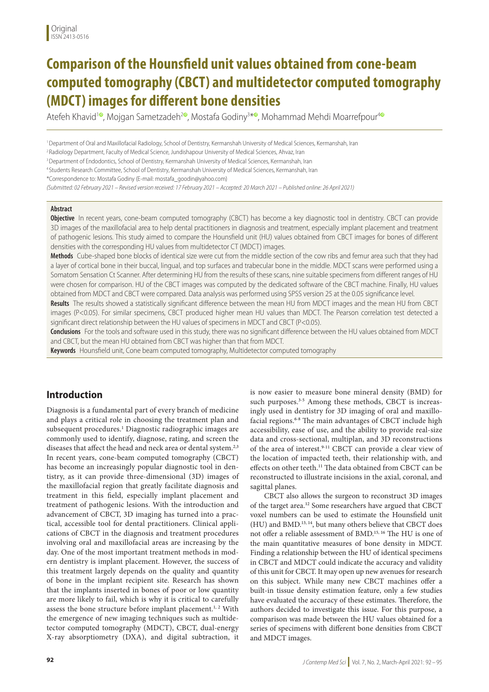# **Comparison of the Hounsfield unit values obtained from cone-beam computed tomography (CBCT) and multidetector computed tomography (MDCT) images for different bone densities**

Atefeh Khavid1 **[iD](https://orcid.org/0000-0001-5505-7571)**, Mojgan Sametzadeh2 **[iD](https://orcid.org/0000-0002-3402-4321)**, Mostafa Godiny3 \***[iD](https://orcid.org/0000-0002-8451-0483)**, Mohammad Mehdi Moarrefpour4 **[iD](https://orcid.org/0000-0002-9179-6029)**

1 Department of Oral and Maxillofacial Radiology, School of Dentistry, Kermanshah University of Medical Sciences, Kermanshah, Iran

2 Radiology Department, Faculty of Medical Science, Jundishapour University of Medical Sciences, Ahvaz, Iran

<sup>3</sup> Department of Endodontics, School of Dentistry, Kermanshah University of Medical Sciences, Kermanshah, Iran

4 Students Research Committee, School of Dentistry, Kermanshah University of Medical Sciences, Kermanshah, Iran

\*Correspondence to: Mostafa Godiny (E-mail: mostafa\_goodin@yahoo.com)

*(Submitted: 02 February 2021 – Revised version received: 17 February 2021 – Accepted: 20 March 2021 – Published online: 26 April 2021)*

#### **Abstract**

**Objective** In recent years, cone-beam computed tomography (CBCT) has become a key diagnostic tool in dentistry. CBCT can provide 3D images of the maxillofacial area to help dental practitioners in diagnosis and treatment, especially implant placement and treatment of pathogenic lesions. This study aimed to compare the Hounsfield unit (HU) values obtained from CBCT images for bones of different densities with the corresponding HU values from multidetector CT (MDCT) images.

**Methods** Cube-shaped bone blocks of identical size were cut from the middle section of the cow ribs and femur area such that they had a layer of cortical bone in their buccal, lingual, and top surfaces and trabecular bone in the middle. MDCT scans were performed using a Somatom Sensation Ct Scanner. After determining HU from the results of these scans, nine suitable specimens from different ranges of HU were chosen for comparison. HU of the CBCT images was computed by the dedicated software of the CBCT machine. Finally, HU values obtained from MDCT and CBCT were compared. Data analysis was performed using SPSS version 25 at the 0.05 significance level.

**Results** The results showed a statistically significant difference between the mean HU from MDCT images and the mean HU from CBCT images (P<0.05). For similar specimens, CBCT produced higher mean HU values than MDCT. The Pearson correlation test detected a significant direct relationship between the HU values of specimens in MDCT and CBCT (P<0.05).

**Conclusions** For the tools and software used in this study, there was no significant difference between the HU values obtained from MDCT and CBCT, but the mean HU obtained from CBCT was higher than that from MDCT.

**Keywords** Hounsfield unit, Cone beam computed tomography, Multidetector computed tomography

## **Introduction**

Diagnosis is a fundamental part of every branch of medicine and plays a critical role in choosing the treatment plan and subsequent procedures.1 Diagnostic radiographic images are commonly used to identify, diagnose, rating, and screen the diseases that affect the head and neck area or dental system.<sup>2,3</sup> In recent years, cone-beam computed tomography (CBCT) has become an increasingly popular diagnostic tool in dentistry, as it can provide three-dimensional (3D) images of the maxillofacial region that greatly facilitate diagnosis and treatment in this field, especially implant placement and treatment of pathogenic lesions. With the introduction and advancement of CBCT, 3D imaging has turned into a practical, accessible tool for dental practitioners. Clinical applications of CBCT in the diagnosis and treatment procedures involving oral and maxillofacial areas are increasing by the day. One of the most important treatment methods in modern dentistry is implant placement. However, the success of this treatment largely depends on the quality and quantity of bone in the implant recipient site. Research has shown that the implants inserted in bones of poor or low quantity are more likely to fail, which is why it is critical to carefully assess the bone structure before implant placement.<sup>1, 2</sup> With the emergence of new imaging techniques such as multidetector computed tomography (MDCT), CBCT, dual-energy X-ray absorptiometry (DXA), and digital subtraction, it

is now easier to measure bone mineral density (BMD) for such purposes.<sup>3-5</sup> Among these methods, CBCT is increasingly used in dentistry for 3D imaging of oral and maxillofacial regions.<sup>6-8</sup> The main advantages of CBCT include high accessibility, ease of use, and the ability to provide real-size data and cross-sectional, multiplan, and 3D reconstructions of the area of interest.9-11 CBCT can provide a clear view of the location of impacted teeth, their relationship with, and effects on other teeth.<sup>11</sup> The data obtained from CBCT can be reconstructed to illustrate incisions in the axial, coronal, and sagittal planes.

CBCT also allows the surgeon to reconstruct 3D images of the target area.12 Some researchers have argued that CBCT voxel numbers can be used to estimate the Hounsfield unit (HU) and BMD.13, 14, but many others believe that CBCT does not offer a reliable assessment of BMD.15, 16 The HU is one of the main quantitative measures of bone density in MDCT. Finding a relationship between the HU of identical specimens in CBCT and MDCT could indicate the accuracy and validity of this unit for CBCT. It may open up new avenues for research on this subject. While many new CBCT machines offer a built-in tissue density estimation feature, only a few studies have evaluated the accuracy of these estimates. Therefore, the authors decided to investigate this issue. For this purpose, a comparison was made between the HU values obtained for a series of specimens with different bone densities from CBCT and MDCT images.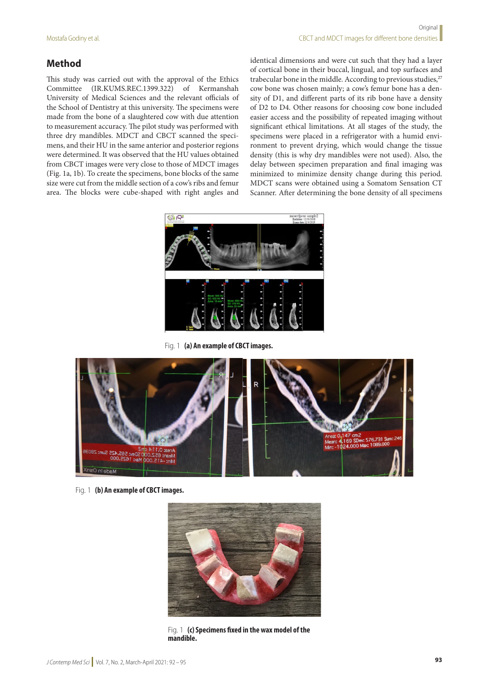## **Method**

This study was carried out with the approval of the Ethics Committee (IR.KUMS.REC.1399.322) of Kermanshah University of Medical Sciences and the relevant officials of the School of Dentistry at this university. The specimens were made from the bone of a slaughtered cow with due attention to measurement accuracy. The pilot study was performed with three dry mandibles. MDCT and CBCT scanned the specimens, and their HU in the same anterior and posterior regions were determined. It was observed that the HU values obtained from CBCT images were very close to those of MDCT images (Fig. 1a, 1b). To create the specimens, bone blocks of the same size were cut from the middle section of a cow's ribs and femur area. The blocks were cube-shaped with right angles and

identical dimensions and were cut such that they had a layer of cortical bone in their buccal, lingual, and top surfaces and trabecular bone in the middle. According to previous studies,<sup>27</sup> cow bone was chosen mainly; a cow's femur bone has a density of D1, and different parts of its rib bone have a density of D2 to D4. Other reasons for choosing cow bone included easier access and the possibility of repeated imaging without significant ethical limitations. At all stages of the study, the specimens were placed in a refrigerator with a humid environment to prevent drying, which would change the tissue density (this is why dry mandibles were not used). Also, the delay between specimen preparation and final imaging was minimized to minimize density change during this period. MDCT scans were obtained using a Somatom Sensation CT Scanner. After determining the bone density of all specimens



Fig. 1 **(a) An example of CBCT images.**



Fig. 1 **(b) An example of CBCT images.**



Fig. 1 **(c) Specimens fixed in the wax model of the mandible.**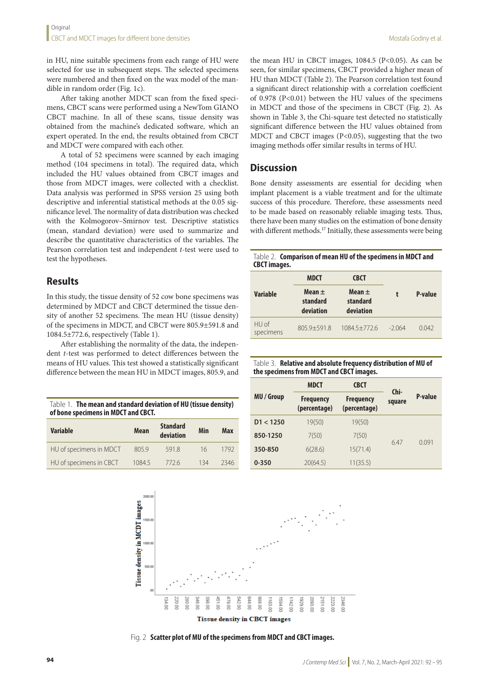in HU, nine suitable specimens from each range of HU were selected for use in subsequent steps. The selected specimens were numbered and then fixed on the wax model of the mandible in random order (Fig. 1c).

After taking another MDCT scan from the fixed specimens, CBCT scans were performed using a NewTom GIANO CBCT machine. In all of these scans, tissue density was obtained from the machine's dedicated software, which an expert operated. In the end, the results obtained from CBCT and MDCT were compared with each other.

A total of 52 specimens were scanned by each imaging method (104 specimens in total). The required data, which included the HU values obtained from CBCT images and those from MDCT images, were collected with a checklist. Data analysis was performed in SPSS version 25 using both descriptive and inferential statistical methods at the 0.05 significance level. The normality of data distribution was checked with the Kolmogorov–Smirnov test. Descriptive statistics (mean, standard deviation) were used to summarize and describe the quantitative characteristics of the variables. The Pearson correlation test and independent *t*-test were used to test the hypotheses.

## **Results**

In this study, the tissue density of 52 cow bone specimens was determined by MDCT and CBCT determined the tissue density of another 52 specimens. The mean HU (tissue density) of the specimens in MDCT, and CBCT were 805.9±591.8 and 1084.5±772.6, respectively (Table 1).

After establishing the normality of the data, the independent *t*-test was performed to detect differences between the means of HU values. This test showed a statistically significant difference between the mean HU in MDCT images, 805.9, and

|                                     | Table 1. The mean and standard deviation of HU (tissue density) |  |  |  |
|-------------------------------------|-----------------------------------------------------------------|--|--|--|
| of bone specimens in MDCT and CBCT. |                                                                 |  |  |  |

| <b>Variable</b>         | <b>Mean</b> | <b>Standard</b><br>deviation | Min | Max  |
|-------------------------|-------------|------------------------------|-----|------|
| HU of specimens in MDCT | 805.9       | 5918                         | 16  | 1792 |
| HU of specimens in CBCT | 1084.5      | 7726                         | 134 | 2346 |

the mean HU in CBCT images,  $1084.5$  (P<0.05). As can be seen, for similar specimens, CBCT provided a higher mean of HU than MDCT (Table 2). The Pearson correlation test found a significant direct relationship with a correlation coefficient of 0.978 (P<0.01) between the HU values of the specimens in MDCT and those of the specimens in CBCT (Fig. 2). As shown in Table 3, the Chi-square test detected no statistically significant difference between the HU values obtained from MDCT and CBCT images (P<0.05), suggesting that the two imaging methods offer similar results in terms of HU.

## **Discussion**

Bone density assessments are essential for deciding when implant placement is a viable treatment and for the ultimate success of this procedure. Therefore, these assessments need to be made based on reasonably reliable imaging tests. Thus, there have been many studies on the estimation of bone density with different methods.<sup>17</sup> Initially, these assessments were being

#### Table 2. **Comparison of mean HU of the specimens in MDCT and CBCT images.**

|                    | <b>MDCT</b>                         | <b>CBCT</b>                         |         | P-value |
|--------------------|-------------------------------------|-------------------------------------|---------|---------|
| Variable           | Mean $\pm$<br>standard<br>deviation | Mean $\pm$<br>standard<br>deviation |         |         |
| HU of<br>specimens | $805.9 + 591.8$                     | $1084.5 + 772.6$                    | $-2064$ | 0.042   |

| Table 3. Relative and absolute frequency distribution of MU of |
|----------------------------------------------------------------|
| the specimens from MDCT and CBCT images.                       |

|                 | <b>MDCT</b>                      | <b>CBCT</b>                      |                |         |
|-----------------|----------------------------------|----------------------------------|----------------|---------|
| <b>MU/Group</b> | <b>Frequency</b><br>(percentage) | <b>Frequency</b><br>(percentage) | Chi-<br>square | P-value |
| D1 < 1250       | 19(50)                           | 19(50)                           |                |         |
| 850-1250        | 7(50)                            | 7(50)                            |                | 0.091   |
| 350-850         | 6(28.6)                          | 15(71.4)                         | 6.47           |         |
| $0 - 350$       | 20(64.5)                         | 11(35.5)                         |                |         |



Fig. 2 **Scatter plot of MU of the specimens from MDCT and CBCT images.**